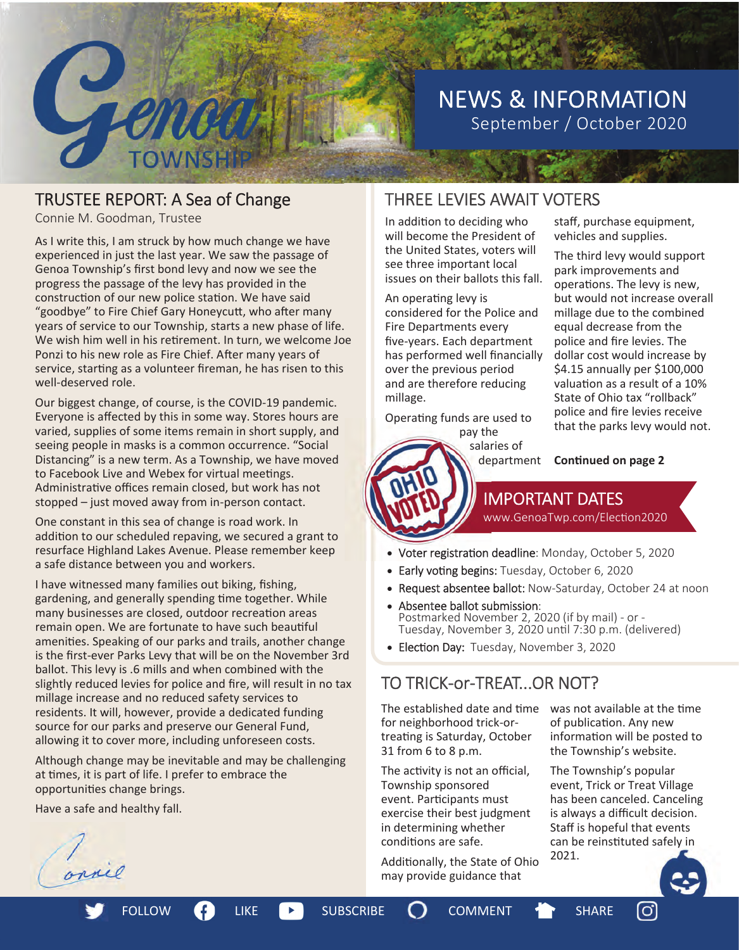

# NEWS & INFORMATION September / October 2020

# TRUSTEE REPORT: A Sea of Change

Connie M. Goodman, Trustee

As I write this, I am struck by how much change we have experienced in just the last year. We saw the passage of Genoa Township's first bond levy and now we see the progress the passage of the levy has provided in the construction of our new police station. We have said "goodbye" to Fire Chief Gary Honeycutt, who after many years of service to our Township, starts a new phase of life. We wish him well in his retirement. In turn, we welcome Joe Ponzi to his new role as Fire Chief. After many years of service, starting as a volunteer fireman, he has risen to this well-deserved role.

Our biggest change, of course, is the COVID-19 pandemic. Everyone is affected by this in some way. Stores hours are varied, supplies of some items remain in short supply, and seeing people in masks is a common occurrence. "Social Distancing" is a new term. As a Township, we have moved to Facebook Live and Webex for virtual meetings. Administrative offices remain closed, but work has not stopped – just moved away from in-person contact.

One constant in this sea of change is road work. In addition to our scheduled repaving, we secured a grant to resurface Highland Lakes Avenue. Please remember keep a safe distance between you and workers.

I have witnessed many families out biking, fishing, gardening, and generally spending time together. While many businesses are closed, outdoor recreation areas remain open. We are fortunate to have such beautiful amenities. Speaking of our parks and trails, another change is the first-ever Parks Levy that will be on the November 3rd ballot. This levy is .6 mills and when combined with the slightly reduced levies for police and fire, will result in no tax millage increase and no reduced safety services to residents. It will, however, provide a dedicated funding source for our parks and preserve our General Fund, allowing it to cover more, including unforeseen costs.

Although change may be inevitable and may be challenging at times, it is part of life. I prefer to embrace the opportuniƟes change brings.

Have a safe and healthy fall.

# THREE LEVIES AWAIT VOTERS

In addition to deciding who will become the President of the United States, voters will see three important local issues on their ballots this fall.

An operating levy is considered for the Police and Fire Departments every five-years. Each department has performed well financially over the previous period and are therefore reducing millage.

Operating funds are used to pay the

salaries of

staff, purchase equipment, vehicles and supplies.

The third levy would support park improvements and operations. The levy is new, but would not increase overall millage due to the combined equal decrease from the police and fire levies. The dollar cost would increase by \$4.15 annually per \$100,000 valuation as a result of a 10% State of Ohio tax "rollback" police and fire levies receive that the parks levy would not.

**Continued on page 2** 

**IMPORTANT DATES**<br>www.GenoaTwp.com/Election2020

- Voter registration deadline: Monday, October 5, 2020
- Early voting begins: Tuesday, October 6, 2020
- Request absentee ballot: Now-Saturday, October 24 at noon
- Absentee ballot submission: *Noscrice valse submission.*<br>Postmarked November 2, 2020 (if by mail) - or -<br>Tuesday, November 3, 2020 until 7:30 p.m. (delivered)
- Election Day: Tuesday, November 3, 2020

# TO TRICK-or-TREAT...OR NOT?

The established date and time for neighborhood trick-ortreating is Saturday, October 31 from 6 to 8 p.m.

The activity is not an official, Township sponsored event. Participants must exercise their best judgment in determining whether conditions are safe.

Additionally, the State of Ohio may provide guidance that

was not available at the time of publication. Any new information will be posted to the Township's website.

The Township's popular event, Trick or Treat Village has been canceled. Canceling is always a difficult decision. Staff is hopeful that events can be reinstituted safely in 2021.

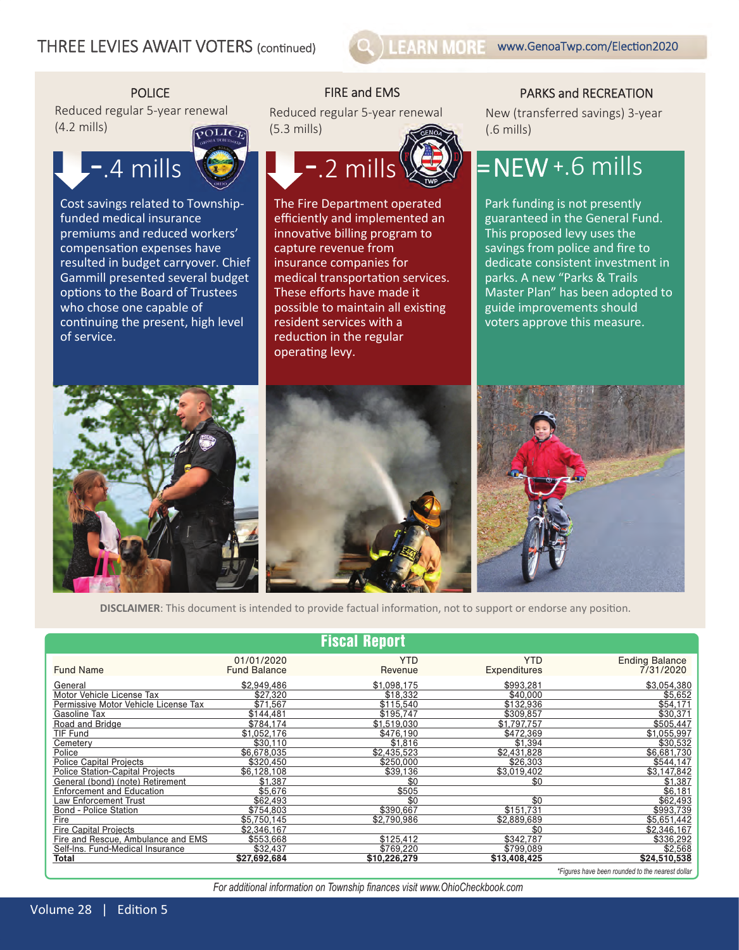

Reduced regular 5-year renewal (4.2 mills)



Cost savings related to Townshipfunded medical insurance premiums and reduced workers' compensation expenses have resulted in budget carryover. Chief Gammill presented several budget options to the Board of Trustees who chose one capable of continuing the present, high level of service.

Reduced regular 5-year renewal (5.3 mills)



The Fire Department operated efficiently and implemented an innovative billing program to capture revenue from insurance companies for medical transportation services. These efforts have made it possible to maintain all existing resident services with a reduction in the regular operating levy.

### POLICE FIRE and EMS POLICE FIRE AND RECREATION

New (transferred savings) 3-year (.6 mills)

# $=$  NEW +.6 mills

Park funding is not presently guaranteed in the General Fund. This proposed levy uses the savings from police and fire to dedicate consistent investment in parks. A new "Parks & Trails Master Plan" has been adopted to guide improvements should voters approve this measure.







*\*Figures have been rounded to the nearest dollar* 

**DISCLAIMER**: This document is intended to provide factual information, not to support or endorse any position.

|                                                                            |                                   | <b>Fiscal Report</b>     |                            |                                    |
|----------------------------------------------------------------------------|-----------------------------------|--------------------------|----------------------------|------------------------------------|
| <b>Fund Name</b>                                                           | 01/01/2020<br><b>Fund Balance</b> | <b>YTD</b><br>Revenue    | <b>YTD</b><br>Expenditures | <b>Ending Balance</b><br>7/31/2020 |
| General                                                                    | \$2.949.486                       | \$1,098,175              | \$993.281                  | \$3.054.380                        |
| Motor Vehicle License Tax<br>Permissive Motor Vehicle License Tax          | \$27.320<br>\$71,567              | \$18,332<br>\$115.540    | \$40,000<br>\$132,936      | \$5,652<br>\$54.171                |
| Gasoline Tax                                                               | \$144.481                         | \$195.747                | \$309.857                  | \$30.371<br>\$505.447              |
| Road and Bridge<br><b>TIF Fund</b>                                         | \$784.174<br>\$1.052.176          | \$1,519,030<br>\$476.190 | \$1,797,757<br>\$472.369   | \$1,055,997                        |
| Cemetery<br>Police                                                         | \$30.110<br>\$6,678,035           | \$1,816<br>\$2,435,523   | \$1,394<br>\$2,431,828     | \$30,532<br>\$6,681,730            |
| <b>Police Capital Projects</b>                                             | \$320,450                         | \$250,000                | \$26,303                   | \$544,147                          |
| <b>Police Station-Capital Projects</b><br>General (bond) (note) Retirement | \$6,128,108<br>\$1,387            | \$39,136<br>\$0          | \$3,019,402<br>\$0         | \$3,147,842<br>\$1,387             |
| <b>Enforcement and Education</b>                                           | \$5,676                           | \$505                    |                            | \$6,181                            |
| <b>Law Enforcement Trust</b><br><b>Bond - Police Station</b>               | \$62,493<br>\$754.803             | \$0<br>\$390.667         | \$0<br>\$151.731           | \$62,493<br>\$993,739              |
| Fire                                                                       | \$5.750.145                       | \$2.790.986              | \$2,889,689                | \$5.651.442                        |
| <b>Fire Capital Projects</b><br>Fire and Rescue, Ambulance and EMS         | \$2.346.167<br>\$553.668          | \$125.412                | \$0<br>\$342.787           | \$2,346,167<br>\$336,292           |
| Self-Ins. Fund-Medical Insurance                                           | \$32,437                          | \$769.220                | \$799.089                  | \$2.568                            |
| <b>Total</b>                                                               | \$27,692,684                      | \$10.226.279             | \$13,408,425               | \$24,510,538                       |

For additional information on Township finances visit www.OhioCheckbook.com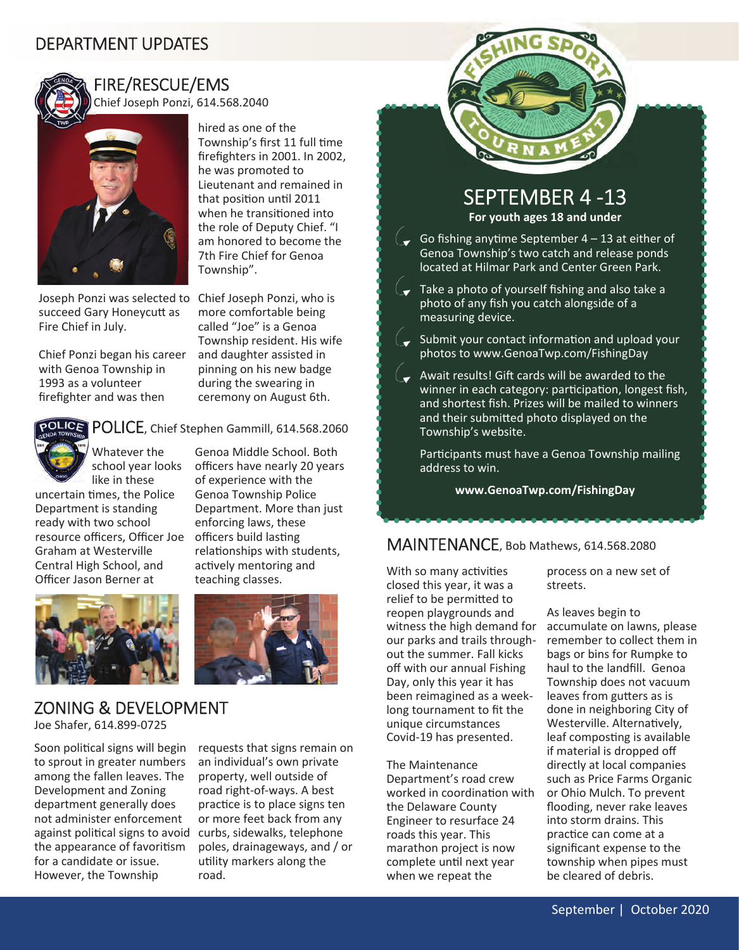# DEPARTMENT UPDATES



### FIRE/RESCUE/EMS Chief Joseph Ponzi, 614.568.2040



Joseph Ponzi was selected to Chief Joseph Ponzi, who is succeed Gary Honeycutt as Fire Chief in July.

Chief Ponzi began his career with Genoa Township in 1993 as a volunteer firefighter and was then

more comfortable being called "Joe" is a Genoa Township resident. His wife and daughter assisted in pinning on his new badge during the swearing in ceremony on August 6th.

Genoa Middle School. Both officers have nearly 20 years of experience with the Genoa Township Police Department. More than just enforcing laws, these officers build lasting

hired as one of the

he was promoted to

Township's first 11 full time firefighters in 2001. In 2002,

Lieutenant and remained in that position until 2011 when he transitioned into the role of Deputy Chief. "I am honored to become the 7th Fire Chief for Genoa



### **ICE** POLICE, Chief Stephen Gammill, 614.568.2060

Township".

Whatever the school year looks like in these

uncertain Ɵmes, the Police Department is standing ready with two school resource officers, Officer Joe Graham at Westerville Central High School, and Officer Jason Berner at





relationships with students. actively mentoring and teaching classes.

# ZONING & DEVELOPMENT

Joe Shafer, 614.899-0725

Soon political signs will begin to sprout in greater numbers among the fallen leaves. The Development and Zoning department generally does not administer enforcement against political signs to avoid the appearance of favoritism for a candidate or issue. However, the Township

requests that signs remain on an individual's own private property, well outside of road right-of-ways. A best practice is to place signs ten or more feet back from any curbs, sidewalks, telephone poles, drainageways, and / or utility markers along the road.

## SEPTEMBER 4-13 **For youth ages 18 and under**

- Go fishing anytime September  $4 13$  at either of Genoa Township's two catch and release ponds located at Hilmar Park and Center Green Park.
- $\overline{C}$  Take a photo of yourself fishing and also take a photo of any fish you catch alongside of a measuring device.
- $\sigma$  Submit your contact information and upload your photos to www.GenoaTwp.com/FishingDay
- $\overline{A}$  Await results! Gift cards will be awarded to the winner in each category: participation, longest fish, and shortest fish. Prizes will be mailed to winners and their submitted photo displayed on the Township's website.

Participants must have a Genoa Township mailing address to win.

**www.GenoaTwp.com/FishingDay**

# MAINTENANCE, Bob Mathews, 614.568.2080

With so many activities closed this year, it was a relief to be permitted to reopen playgrounds and our parks and trails throughout the summer. Fall kicks off with our annual Fishing Day, only this year it has been reimagined as a weeklong tournament to fit the unique circumstances Covid-19 has presented.

The Maintenance Department's road crew worked in coordination with the Delaware County Engineer to resurface 24 roads this year. This marathon project is now complete until next year when we repeat the

process on a new set of streets.

witness the high demand for accumulate on lawns, please As leaves begin to remember to collect them in bags or bins for Rumpke to haul to the landfill. Genoa Township does not vacuum leaves from gutters as is done in neighboring City of Westerville. Alternatively, leaf composting is available if material is dropped off directly at local companies such as Price Farms Organic or Ohio Mulch. To prevent flooding, never rake leaves into storm drains. This practice can come at a significant expense to the township when pipes must be cleared of debris.